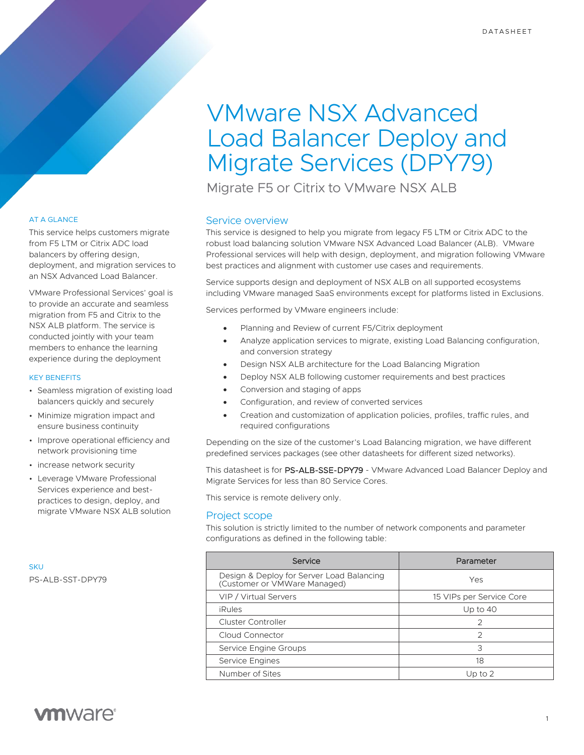# VMware NSX Advanced Load Balancer Deploy and Migrate Services (DPY79)

Migrate F5 or Citrix to VMware NSX ALB

# Service overview

This service is designed to help you migrate from legacy F5 LTM or Citrix ADC to the robust load balancing solution VMware NSX Advanced Load Balancer (ALB). VMware Professional services will help with design, deployment, and migration following VMware best practices and alignment with customer use cases and requirements.

Service supports design and deployment of NSX ALB on all supported ecosystems including VMware managed SaaS environments except for platforms listed in Exclusions.

Services performed by VMware engineers include:

- Planning and Review of current F5/Citrix deployment
- Analyze application services to migrate, existing Load Balancing configuration, and conversion strategy
- Design NSX ALB architecture for the Load Balancing Migration
- Deploy NSX ALB following customer requirements and best practices
- Conversion and staging of apps
- Configuration, and review of converted services
- Creation and customization of application policies, profiles, traffic rules, and required configurations

Depending on the size of the customer's Load Balancing migration, we have different predefined services packages (see other datasheets for different sized networks).

This datasheet is for PS-ALB-SSE-DPY79 - VMware Advanced Load Balancer Deploy and Migrate Services for less than 80 Service Cores.

This service is remote delivery only.

# Project scope

This solution is strictly limited to the number of network components and parameter configurations as defined in the following table:

| Service                                                                   | Parameter                |
|---------------------------------------------------------------------------|--------------------------|
| Design & Deploy for Server Load Balancing<br>(Customer or VMWare Managed) | Yes                      |
| VIP / Virtual Servers                                                     | 15 VIPs per Service Core |
| iRules                                                                    | Up to $40$               |
| Cluster Controller                                                        | $\mathcal{P}$            |
| Cloud Connector                                                           | $\mathcal{P}$            |
| Service Engine Groups                                                     | 3                        |
| Service Engines                                                           | 18                       |
| Number of Sites                                                           | Up to $2$                |

# AT A GLANCE

This service helps customers migrate from F5 LTM or Citrix ADC load balancers by offering design, deployment, and migration services to an NSX Advanced Load Balancer.

VMware Professional Services' goal is to provide an accurate and seamless migration from F5 and Citrix to the NSX ALB platform. The service is conducted jointly with your team members to enhance the learning experience during the deployment

#### KEY BENEFITS

- Seamless migration of existing load balancers quickly and securely
- Minimize migration impact and ensure business continuity
- Improve operational efficiency and network provisioning time
- increase network security
- Leverage VMware Professional Services experience and bestpractices to design, deploy, and migrate VMware NSX ALB solution

**SKU** PS-ALB-SST-DPY79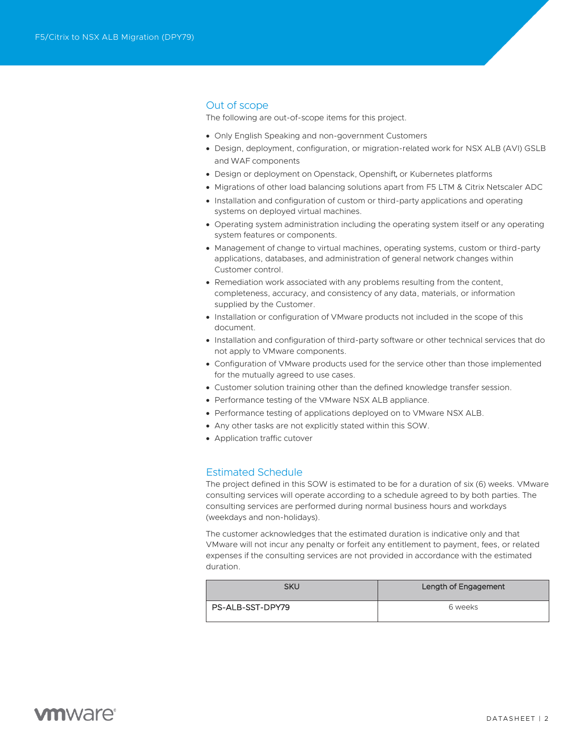# Out of scope

The following are out-of-scope items for this project.

- Only English Speaking and non-government Customers
- Design, deployment, configuration, or migration-related work for NSX ALB (AVI) GSLB and WAF components
- Design or deployment on Openstack, Openshift, or Kubernetes platforms
- Migrations of other load balancing solutions apart from F5 LTM & Citrix Netscaler ADC
- Installation and configuration of custom or third-party applications and operating systems on deployed virtual machines.
- Operating system administration including the operating system itself or any operating system features or components.
- Management of change to virtual machines, operating systems, custom or third-party applications, databases, and administration of general network changes within Customer control.
- Remediation work associated with any problems resulting from the content, completeness, accuracy, and consistency of any data, materials, or information supplied by the Customer.
- Installation or configuration of VMware products not included in the scope of this document.
- Installation and configuration of third-party software or other technical services that do not apply to VMware components.
- Configuration of VMware products used for the service other than those implemented for the mutually agreed to use cases.
- Customer solution training other than the defined knowledge transfer session.
- Performance testing of the VMware NSX ALB appliance.
- Performance testing of applications deployed on to VMware NSX ALB.
- Any other tasks are not explicitly stated within this SOW.
- Application traffic cutover

# Estimated Schedule

The project defined in this SOW is estimated to be for a duration of six (6) weeks. VMware consulting services will operate according to a schedule agreed to by both parties. The consulting services are performed during normal business hours and workdays (weekdays and non-holidays).

The customer acknowledges that the estimated duration is indicative only and that VMware will not incur any penalty or forfeit any entitlement to payment, fees, or related expenses if the consulting services are not provided in accordance with the estimated duration.

| <b>SKU</b>       | Length of Engagement |
|------------------|----------------------|
| PS-ALB-SST-DPY79 | 6 weeks              |

# **vm**ware<sup>®</sup>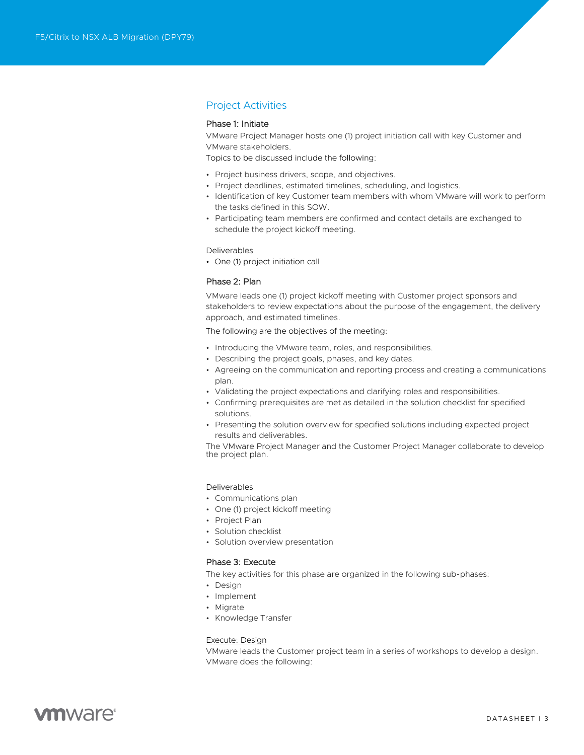# Project Activities

### Phase 1: Initiate

VMware Project Manager hosts one (1) project initiation call with key Customer and VMware stakeholders.

Topics to be discussed include the following:

- Project business drivers, scope, and objectives.
- Project deadlines, estimated timelines, scheduling, and logistics.
- Identification of key Customer team members with whom VMware will work to perform the tasks defined in this SOW.
- Participating team members are confirmed and contact details are exchanged to schedule the project kickoff meeting.

#### Deliverables

• One (1) project initiation call

#### Phase 2: Plan

VMware leads one (1) project kickoff meeting with Customer project sponsors and stakeholders to review expectations about the purpose of the engagement, the delivery approach, and estimated timelines.

The following are the objectives of the meeting:

- Introducing the VMware team, roles, and responsibilities.
- Describing the project goals, phases, and key dates.
- Agreeing on the communication and reporting process and creating a communications plan.
- Validating the project expectations and clarifying roles and responsibilities.
- Confirming prerequisites are met as detailed in the solution checklist for specified solutions.
- Presenting the solution overview for specified solutions including expected project results and deliverables.

The VMware Project Manager and the Customer Project Manager collaborate to develop the project plan.

#### Deliverables

- Communications plan
- One (1) project kickoff meeting
- Project Plan
- Solution checklist
- Solution overview presentation

### Phase 3: Execute

The key activities for this phase are organized in the following sub-phases:

- Design
- Implement
- Migrate
- Knowledge Transfer

### Execute: Design

VMware leads the Customer project team in a series of workshops to develop a design. VMware does the following:

# **vm**ware<sup>®</sup>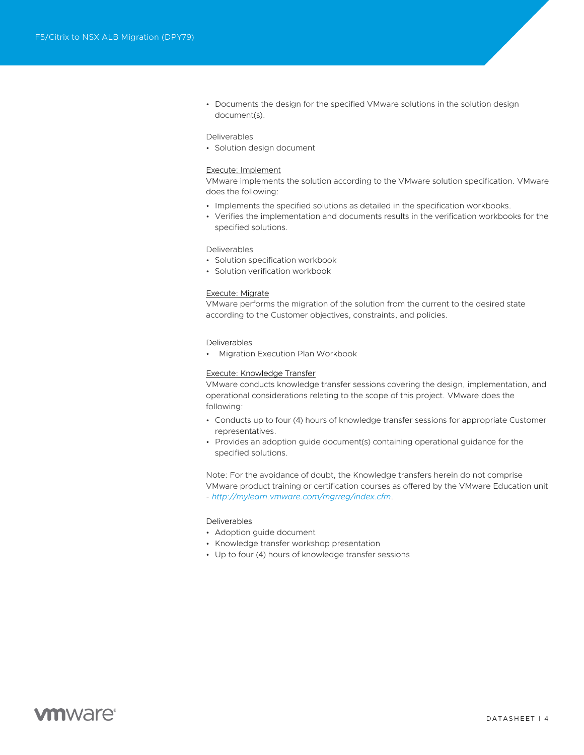• Documents the design for the specified VMware solutions in the solution design document(s).

#### Deliverables

• Solution design document

#### Execute: Implement

VMware implements the solution according to the VMware solution specification. VMware does the following:

- Implements the specified solutions as detailed in the specification workbooks.
- Verifies the implementation and documents results in the verification workbooks for the specified solutions.

#### Deliverables

- Solution specification workbook
- Solution verification workbook

#### Execute: Migrate

VMware performs the migration of the solution from the current to the desired state according to the Customer objectives, constraints, and policies.

#### Deliverables

• Migration Execution Plan Workbook

#### Execute: Knowledge Transfer

VMware conducts knowledge transfer sessions covering the design, implementation, and operational considerations relating to the scope of this project. VMware does the following:

- Conducts up to four (4) hours of knowledge transfer sessions for appropriate Customer representatives.
- Provides an adoption guide document(s) containing operational guidance for the specified solutions.

Note: For the avoidance of doubt, the Knowledge transfers herein do not comprise VMware product training or certification courses as offered by the VMware Education unit - *<http://mylearn.vmware.com/mgrreg/index.cfm>*.

#### Deliverables

- Adoption guide document
- Knowledge transfer workshop presentation
- Up to four (4) hours of knowledge transfer sessions

# **vm**ware<sup>®</sup>